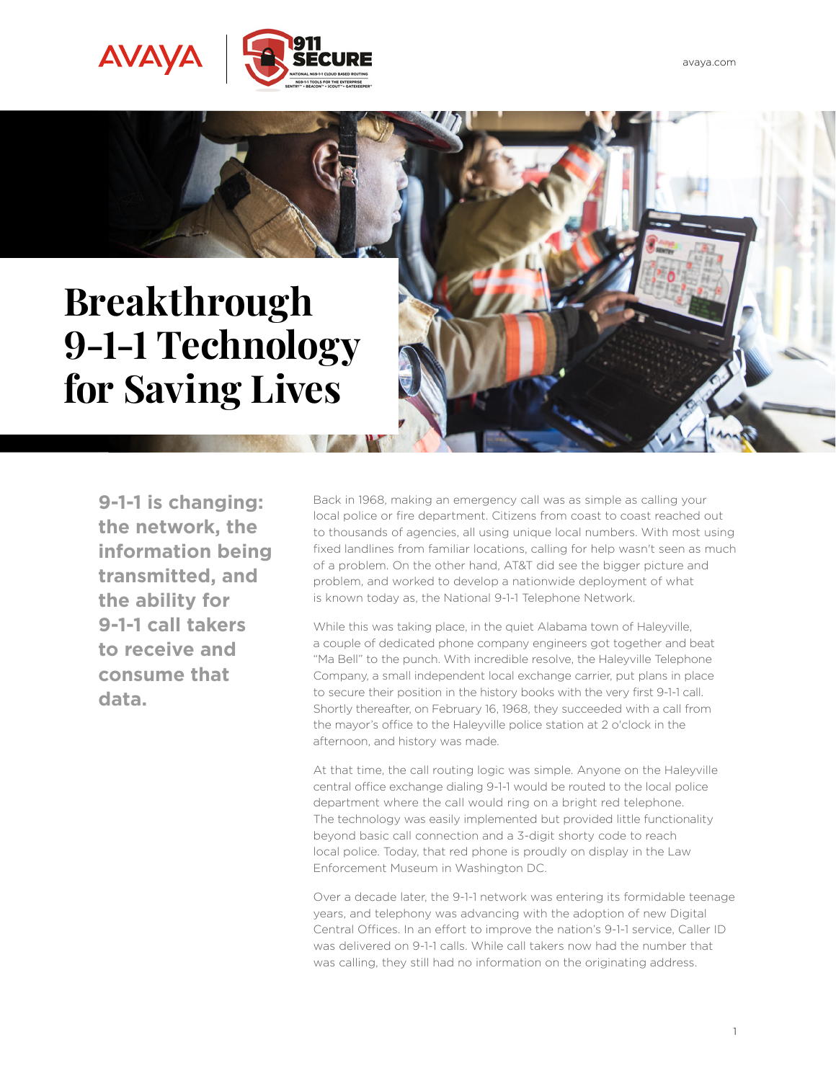

## **Breakthrough 9-1-1 Technology for Saving Lives**

**9-1-1 is changing: the network, the information being transmitted, and the ability for 9-1-1 call takers to receive and consume that data.**

Back in 1968, making an emergency call was as simple as calling your local police or fire department. Citizens from coast to coast reached out to thousands of agencies, all using unique local numbers. With most using fixed landlines from familiar locations, calling for help wasn't seen as much of a problem. On the other hand, AT&T did see the bigger picture and problem, and worked to develop a nationwide deployment of what is known today as, the National 9-1-1 Telephone Network.

While this was taking place, in the quiet Alabama town of Haleyville, a couple of dedicated phone company engineers got together and beat "Ma Bell" to the punch. With incredible resolve, the Haleyville Telephone Company, a small independent local exchange carrier, put plans in place to secure their position in the history books with the very first 9-1-1 call. Shortly thereafter, on February 16, 1968, they succeeded with a call from the mayor's office to the Haleyville police station at 2 o'clock in the afternoon, and history was made.

At that time, the call routing logic was simple. Anyone on the Haleyville central office exchange dialing 9-1-1 would be routed to the local police department where the call would ring on a bright red telephone. The technology was easily implemented but provided little functionality beyond basic call connection and a 3-digit shorty code to reach local police. Today, that red phone is proudly on display in the Law Enforcement Museum in Washington DC.

Over a decade later, the 9-1-1 network was entering its formidable teenage years, and telephony was advancing with the adoption of new Digital Central Offices. In an effort to improve the nation's 9-1-1 service, Caller ID was delivered on 9-1-1 calls. While call takers now had the number that was calling, they still had no information on the originating address.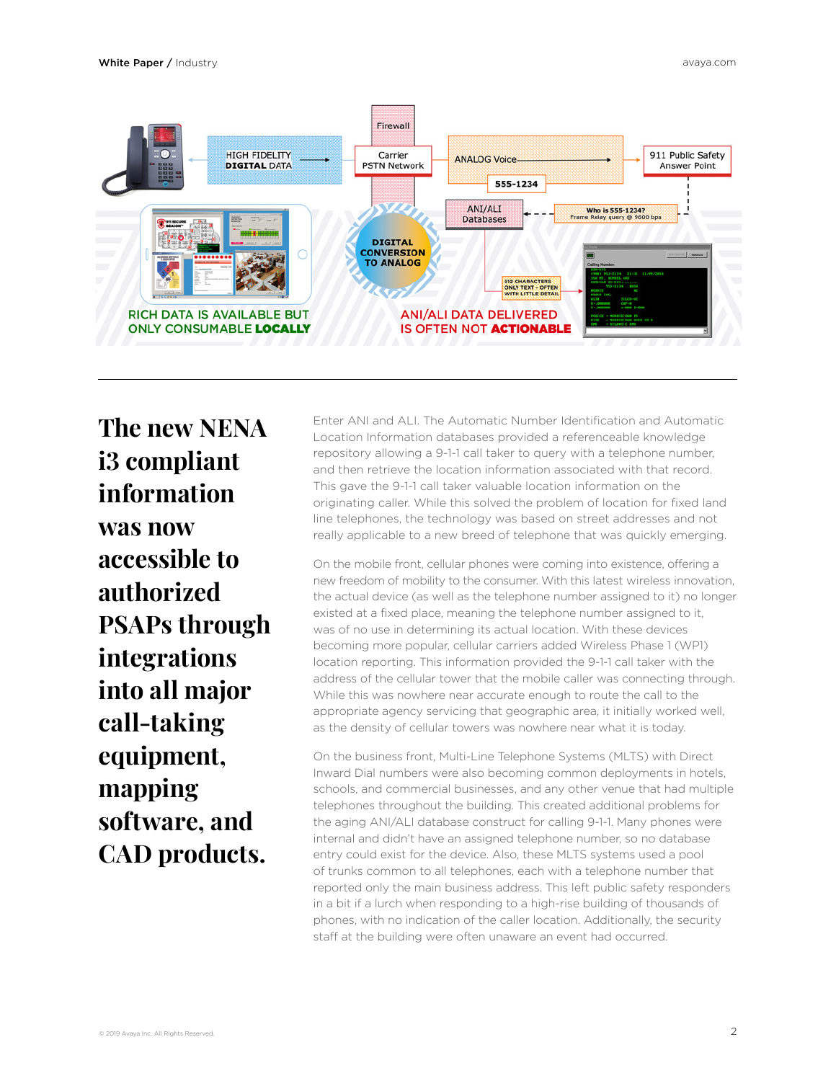

**The new NENA i3 compliant information was now accessible to authorized PSAPs through integrations into all major call-taking equipment, mapping software, and CAD products.** 

Enter ANI and ALI. The Automatic Number Identification and Automatic Location Information databases provided a referenceable knowledge repository allowing a 9-1-1 call taker to query with a telephone number, and then retrieve the location information associated with that record. This gave the 9-1-1 call taker valuable location information on the originating caller. While this solved the problem of location for fixed land line telephones, the technology was based on street addresses and not really applicable to a new breed of telephone that was quickly emerging.

On the mobile front, cellular phones were coming into existence, offering a new freedom of mobility to the consumer. With this latest wireless innovation, the actual device (as well as the telephone number assigned to it) no longer existed at a fixed place, meaning the telephone number assigned to it, was of no use in determining its actual location. With these devices becoming more popular, cellular carriers added Wireless Phase 1 (WP1) location reporting. This information provided the 9-1-1 call taker with the address of the cellular tower that the mobile caller was connecting through. While this was nowhere near accurate enough to route the call to the appropriate agency servicing that geographic area, it initially worked well, as the density of cellular towers was nowhere near what it is today.

On the business front, Multi-Line Telephone Systems (MLTS) with Direct Inward Dial numbers were also becoming common deployments in hotels, schools, and commercial businesses, and any other venue that had multiple telephones throughout the building. This created additional problems for the aging ANI/ALI database construct for calling 9-1-1. Many phones were internal and didn't have an assigned telephone number, so no database entry could exist for the device. Also, these MLTS systems used a pool of trunks common to all telephones, each with a telephone number that reported only the main business address. This left public safety responders in a bit if a lurch when responding to a high-rise building of thousands of phones, with no indication of the caller location. Additionally, the security staff at the building were often unaware an event had occurred.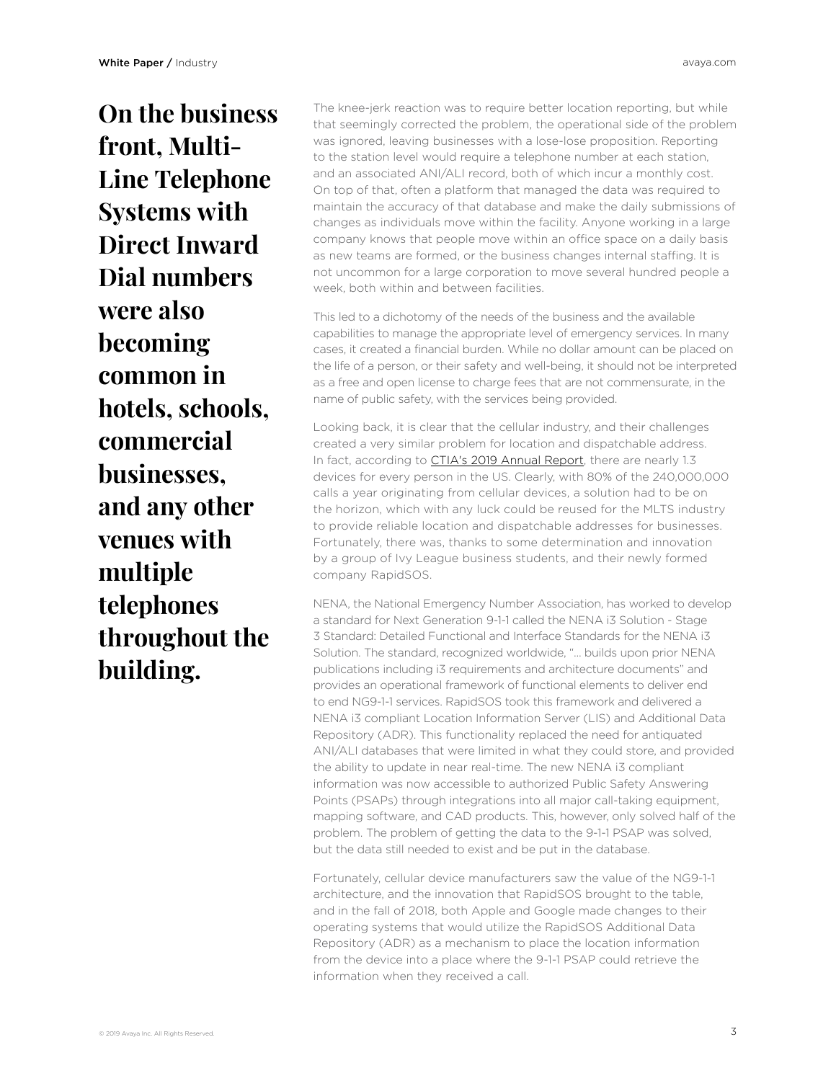**On the business front, Multi-Line Telephone Systems with Direct Inward Dial numbers were also becoming common in hotels, schools, commercial businesses, and any other venues with multiple telephones throughout the building.** 

The knee-jerk reaction was to require better location reporting, but while that seemingly corrected the problem, the operational side of the problem was ignored, leaving businesses with a lose-lose proposition. Reporting to the station level would require a telephone number at each station, and an associated ANI/ALI record, both of which incur a monthly cost. On top of that, often a platform that managed the data was required to maintain the accuracy of that database and make the daily submissions of changes as individuals move within the facility. Anyone working in a large company knows that people move within an office space on a daily basis as new teams are formed, or the business changes internal staffing. It is not uncommon for a large corporation to move several hundred people a week, both within and between facilities.

This led to a dichotomy of the needs of the business and the available capabilities to manage the appropriate level of emergency services. In many cases, it created a financial burden. While no dollar amount can be placed on the life of a person, or their safety and well-being, it should not be interpreted as a free and open license to charge fees that are not commensurate, in the name of public safety, with the services being provided.

Looking back, it is clear that the cellular industry, and their challenges created a very similar problem for location and dispatchable address. In fact, according to [CTIA's 2019 Annual Report,](https://www.ctia.org/news/2019-annual-survey-highlights) there are nearly 1.3 devices for every person in the US. Clearly, with 80% of the 240,000,000 calls a year originating from cellular devices, a solution had to be on the horizon, which with any luck could be reused for the MLTS industry to provide reliable location and dispatchable addresses for businesses. Fortunately, there was, thanks to some determination and innovation by a group of Ivy League business students, and their newly formed company RapidSOS.

NENA, the National Emergency Number Association, has worked to develop a standard for Next Generation 9-1-1 called the NENA i3 Solution - Stage 3 Standard: Detailed Functional and Interface Standards for the NENA i3 Solution. The standard, recognized worldwide, "... builds upon prior NENA publications including i3 requirements and architecture documents" and provides an operational framework of functional elements to deliver end to end NG9-1-1 services. RapidSOS took this framework and delivered a NENA i3 compliant Location Information Server (LIS) and Additional Data Repository (ADR). This functionality replaced the need for antiquated ANI/ALI databases that were limited in what they could store, and provided the ability to update in near real-time. The new NENA i3 compliant information was now accessible to authorized Public Safety Answering Points (PSAPs) through integrations into all major call-taking equipment, mapping software, and CAD products. This, however, only solved half of the problem. The problem of getting the data to the 9-1-1 PSAP was solved, but the data still needed to exist and be put in the database.

Fortunately, cellular device manufacturers saw the value of the NG9-1-1 architecture, and the innovation that RapidSOS brought to the table, and in the fall of 2018, both Apple and Google made changes to their operating systems that would utilize the RapidSOS Additional Data Repository (ADR) as a mechanism to place the location information from the device into a place where the 9-1-1 PSAP could retrieve the information when they received a call.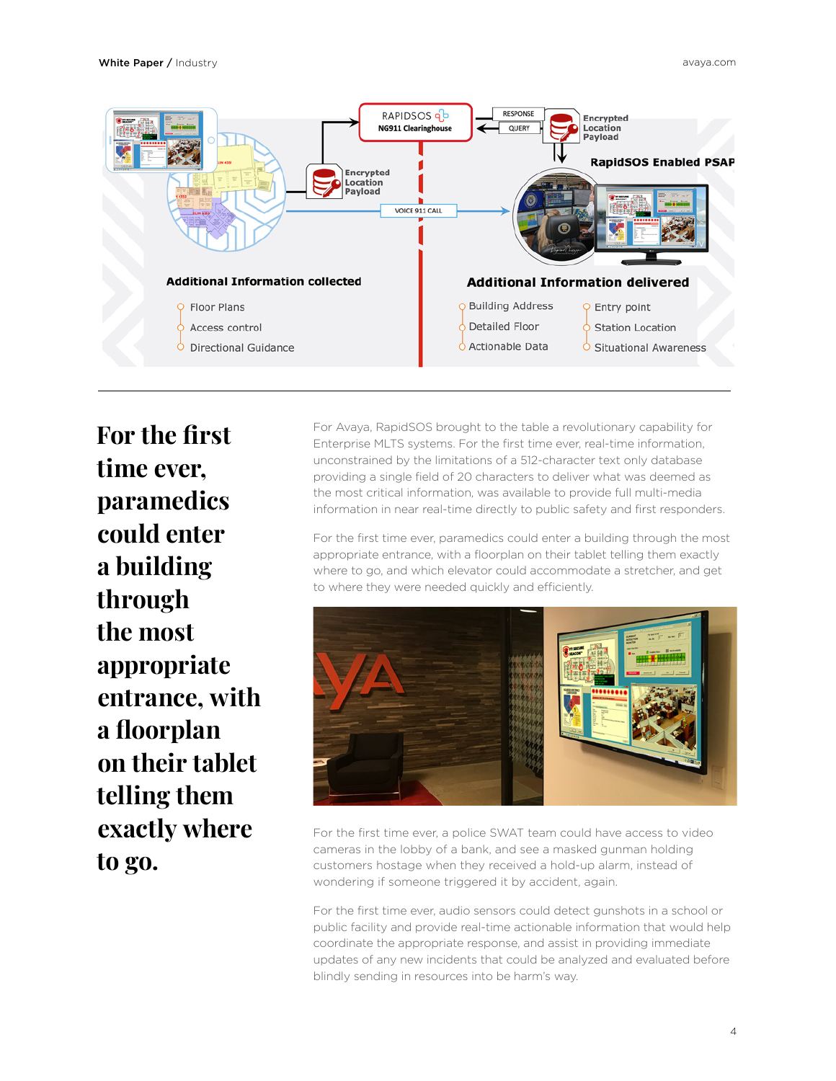

**For the first time ever, paramedics could enter a building through the most appropriate entrance, with a floorplan on their tablet telling them exactly where to go.**

For Avaya, RapidSOS brought to the table a revolutionary capability for Enterprise MLTS systems. For the first time ever, real-time information, unconstrained by the limitations of a 512-character text only database providing a single field of 20 characters to deliver what was deemed as the most critical information, was available to provide full multi-media information in near real-time directly to public safety and first responders.

For the first time ever, paramedics could enter a building through the most appropriate entrance, with a floorplan on their tablet telling them exactly where to go, and which elevator could accommodate a stretcher, and get to where they were needed quickly and efficiently.



For the first time ever, a police SWAT team could have access to video cameras in the lobby of a bank, and see a masked gunman holding customers hostage when they received a hold-up alarm, instead of wondering if someone triggered it by accident, again.

For the first time ever, audio sensors could detect gunshots in a school or public facility and provide real-time actionable information that would help coordinate the appropriate response, and assist in providing immediate updates of any new incidents that could be analyzed and evaluated before blindly sending in resources into be harm's way.